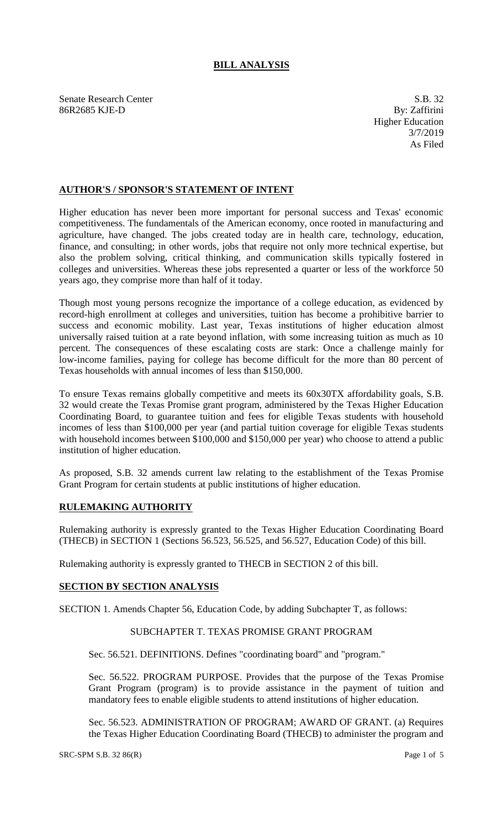# **BILL ANALYSIS**

Senate Research Center S.B. 32 86R2685 KJE-D By: Zaffirini

Higher Education 3/7/2019 As Filed

## **AUTHOR'S / SPONSOR'S STATEMENT OF INTENT**

Higher education has never been more important for personal success and Texas' economic competitiveness. The fundamentals of the American economy, once rooted in manufacturing and agriculture, have changed. The jobs created today are in health care, technology, education, finance, and consulting; in other words, jobs that require not only more technical expertise, but also the problem solving, critical thinking, and communication skills typically fostered in colleges and universities. Whereas these jobs represented a quarter or less of the workforce 50 years ago, they comprise more than half of it today.

Though most young persons recognize the importance of a college education, as evidenced by record-high enrollment at colleges and universities, tuition has become a prohibitive barrier to success and economic mobility. Last year, Texas institutions of higher education almost universally raised tuition at a rate beyond inflation, with some increasing tuition as much as 10 percent. The consequences of these escalating costs are stark: Once a challenge mainly for low-income families, paying for college has become difficult for the more than 80 percent of Texas households with annual incomes of less than \$150,000.

To ensure Texas remains globally competitive and meets its 60x30TX affordability goals, S.B. 32 would create the Texas Promise grant program, administered by the Texas Higher Education Coordinating Board, to guarantee tuition and fees for eligible Texas students with household incomes of less than \$100,000 per year (and partial tuition coverage for eligible Texas students with household incomes between \$100,000 and \$150,000 per year) who choose to attend a public institution of higher education.

As proposed, S.B. 32 amends current law relating to the establishment of the Texas Promise Grant Program for certain students at public institutions of higher education.

### **RULEMAKING AUTHORITY**

Rulemaking authority is expressly granted to the Texas Higher Education Coordinating Board (THECB) in SECTION 1 (Sections 56.523, 56.525, and 56.527, Education Code) of this bill.

Rulemaking authority is expressly granted to THECB in SECTION 2 of this bill.

### **SECTION BY SECTION ANALYSIS**

SECTION 1. Amends Chapter 56, Education Code, by adding Subchapter T, as follows:

### SUBCHAPTER T. TEXAS PROMISE GRANT PROGRAM

Sec. 56.521. DEFINITIONS. Defines "coordinating board" and "program."

Sec. 56.522. PROGRAM PURPOSE. Provides that the purpose of the Texas Promise Grant Program (program) is to provide assistance in the payment of tuition and mandatory fees to enable eligible students to attend institutions of higher education.

Sec. 56.523. ADMINISTRATION OF PROGRAM; AWARD OF GRANT. (a) Requires the Texas Higher Education Coordinating Board (THECB) to administer the program and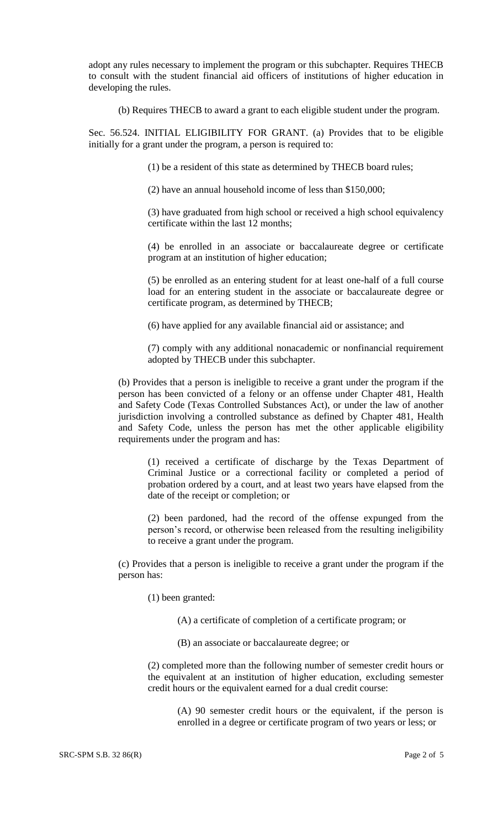adopt any rules necessary to implement the program or this subchapter. Requires THECB to consult with the student financial aid officers of institutions of higher education in developing the rules.

(b) Requires THECB to award a grant to each eligible student under the program.

Sec. 56.524. INITIAL ELIGIBILITY FOR GRANT. (a) Provides that to be eligible initially for a grant under the program, a person is required to:

(1) be a resident of this state as determined by THECB board rules;

(2) have an annual household income of less than \$150,000;

(3) have graduated from high school or received a high school equivalency certificate within the last 12 months;

(4) be enrolled in an associate or baccalaureate degree or certificate program at an institution of higher education;

(5) be enrolled as an entering student for at least one-half of a full course load for an entering student in the associate or baccalaureate degree or certificate program, as determined by THECB;

(6) have applied for any available financial aid or assistance; and

(7) comply with any additional nonacademic or nonfinancial requirement adopted by THECB under this subchapter.

(b) Provides that a person is ineligible to receive a grant under the program if the person has been convicted of a felony or an offense under Chapter 481, Health and Safety Code (Texas Controlled Substances Act), or under the law of another jurisdiction involving a controlled substance as defined by Chapter 481, Health and Safety Code, unless the person has met the other applicable eligibility requirements under the program and has:

(1) received a certificate of discharge by the Texas Department of Criminal Justice or a correctional facility or completed a period of probation ordered by a court, and at least two years have elapsed from the date of the receipt or completion; or

(2) been pardoned, had the record of the offense expunged from the person's record, or otherwise been released from the resulting ineligibility to receive a grant under the program.

(c) Provides that a person is ineligible to receive a grant under the program if the person has:

(1) been granted:

(A) a certificate of completion of a certificate program; or

(B) an associate or baccalaureate degree; or

(2) completed more than the following number of semester credit hours or the equivalent at an institution of higher education, excluding semester credit hours or the equivalent earned for a dual credit course:

> (A) 90 semester credit hours or the equivalent, if the person is enrolled in a degree or certificate program of two years or less; or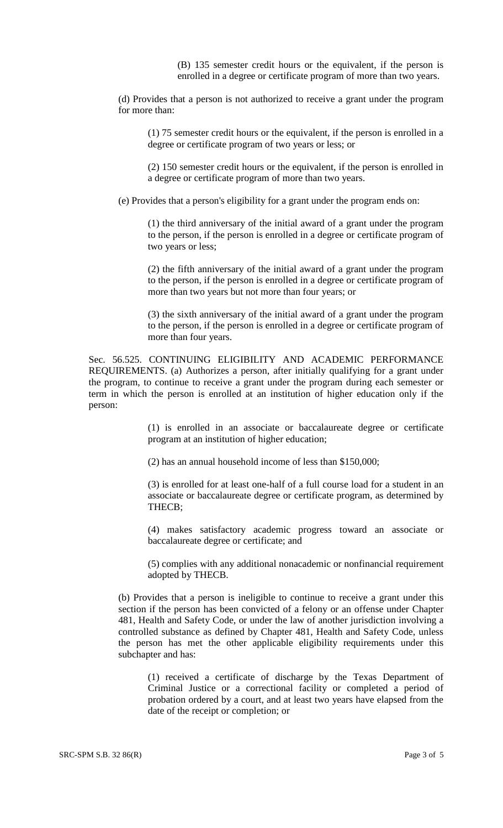(B) 135 semester credit hours or the equivalent, if the person is enrolled in a degree or certificate program of more than two years.

(d) Provides that a person is not authorized to receive a grant under the program for more than:

(1) 75 semester credit hours or the equivalent, if the person is enrolled in a degree or certificate program of two years or less; or

(2) 150 semester credit hours or the equivalent, if the person is enrolled in a degree or certificate program of more than two years.

(e) Provides that a person's eligibility for a grant under the program ends on:

(1) the third anniversary of the initial award of a grant under the program to the person, if the person is enrolled in a degree or certificate program of two years or less;

(2) the fifth anniversary of the initial award of a grant under the program to the person, if the person is enrolled in a degree or certificate program of more than two years but not more than four years; or

(3) the sixth anniversary of the initial award of a grant under the program to the person, if the person is enrolled in a degree or certificate program of more than four years.

Sec. 56.525. CONTINUING ELIGIBILITY AND ACADEMIC PERFORMANCE REQUIREMENTS. (a) Authorizes a person, after initially qualifying for a grant under the program, to continue to receive a grant under the program during each semester or term in which the person is enrolled at an institution of higher education only if the person:

> (1) is enrolled in an associate or baccalaureate degree or certificate program at an institution of higher education;

(2) has an annual household income of less than \$150,000;

(3) is enrolled for at least one-half of a full course load for a student in an associate or baccalaureate degree or certificate program, as determined by THECB;

(4) makes satisfactory academic progress toward an associate or baccalaureate degree or certificate; and

(5) complies with any additional nonacademic or nonfinancial requirement adopted by THECB.

(b) Provides that a person is ineligible to continue to receive a grant under this section if the person has been convicted of a felony or an offense under Chapter 481, Health and Safety Code, or under the law of another jurisdiction involving a controlled substance as defined by Chapter 481, Health and Safety Code, unless the person has met the other applicable eligibility requirements under this subchapter and has:

(1) received a certificate of discharge by the Texas Department of Criminal Justice or a correctional facility or completed a period of probation ordered by a court, and at least two years have elapsed from the date of the receipt or completion; or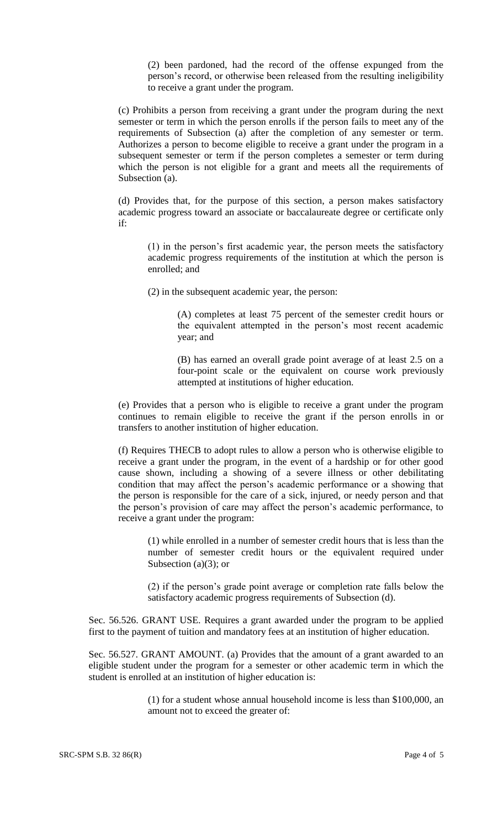(2) been pardoned, had the record of the offense expunged from the person's record, or otherwise been released from the resulting ineligibility to receive a grant under the program.

(c) Prohibits a person from receiving a grant under the program during the next semester or term in which the person enrolls if the person fails to meet any of the requirements of Subsection (a) after the completion of any semester or term. Authorizes a person to become eligible to receive a grant under the program in a subsequent semester or term if the person completes a semester or term during which the person is not eligible for a grant and meets all the requirements of Subsection (a).

(d) Provides that, for the purpose of this section, a person makes satisfactory academic progress toward an associate or baccalaureate degree or certificate only if:

(1) in the person's first academic year, the person meets the satisfactory academic progress requirements of the institution at which the person is enrolled; and

(2) in the subsequent academic year, the person:

(A) completes at least 75 percent of the semester credit hours or the equivalent attempted in the person's most recent academic year; and

(B) has earned an overall grade point average of at least 2.5 on a four-point scale or the equivalent on course work previously attempted at institutions of higher education.

(e) Provides that a person who is eligible to receive a grant under the program continues to remain eligible to receive the grant if the person enrolls in or transfers to another institution of higher education.

(f) Requires THECB to adopt rules to allow a person who is otherwise eligible to receive a grant under the program, in the event of a hardship or for other good cause shown, including a showing of a severe illness or other debilitating condition that may affect the person's academic performance or a showing that the person is responsible for the care of a sick, injured, or needy person and that the person's provision of care may affect the person's academic performance, to receive a grant under the program:

(1) while enrolled in a number of semester credit hours that is less than the number of semester credit hours or the equivalent required under Subsection  $(a)(3)$ ; or

(2) if the person's grade point average or completion rate falls below the satisfactory academic progress requirements of Subsection (d).

Sec. 56.526. GRANT USE. Requires a grant awarded under the program to be applied first to the payment of tuition and mandatory fees at an institution of higher education.

Sec. 56.527. GRANT AMOUNT. (a) Provides that the amount of a grant awarded to an eligible student under the program for a semester or other academic term in which the student is enrolled at an institution of higher education is:

> (1) for a student whose annual household income is less than \$100,000, an amount not to exceed the greater of: